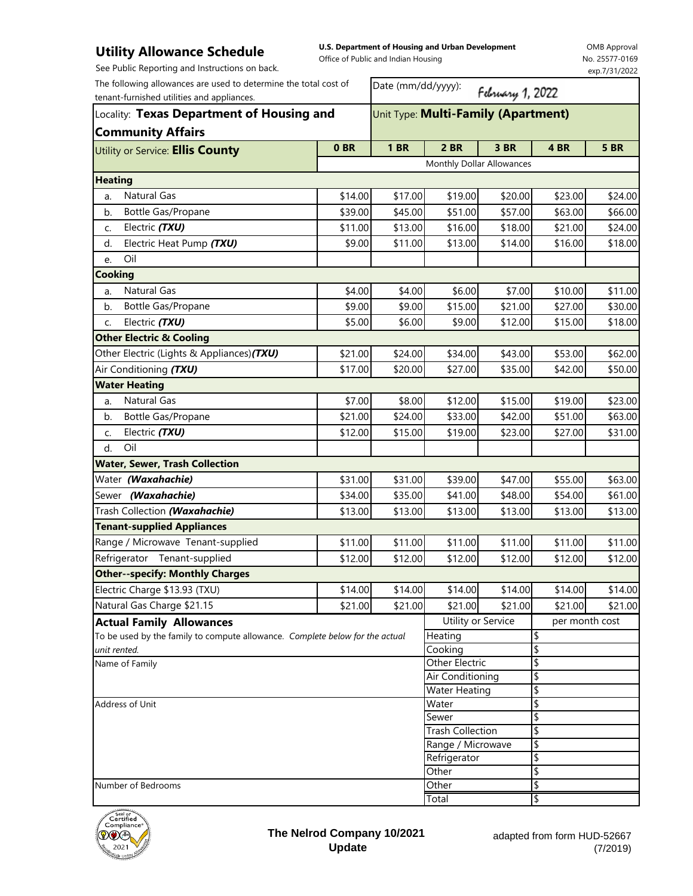## **Utility Allowance Schedule** See Public Reporting and Instructions on back.

**U.S. Department of Housing and Urban Development**  Office of Public and Indian Housing

OMB Approval No. 25577-0169 exp.7/31/2022

| The following allowances are used to determine the total cost of<br>tenant-furnished utilities and appliances.<br>Locality: Texas Department of Housing and |                                  | Date (mm/dd/yyyy):<br>February 1, 2022 |                           |          |                |             |  |
|-------------------------------------------------------------------------------------------------------------------------------------------------------------|----------------------------------|----------------------------------------|---------------------------|----------|----------------|-------------|--|
|                                                                                                                                                             |                                  | Unit Type: Multi-Family (Apartment)    |                           |          |                |             |  |
| <b>Community Affairs</b><br>Utility or Service: Ellis County                                                                                                | 0BR                              | <b>1 BR</b>                            | <b>2 BR</b>               | 3 BR     | 4 BR           | <b>5 BR</b> |  |
|                                                                                                                                                             |                                  |                                        | Monthly Dollar Allowances |          |                |             |  |
| <b>Heating</b>                                                                                                                                              |                                  |                                        |                           |          |                |             |  |
| Natural Gas<br>a.                                                                                                                                           | \$14.00                          | \$17.00                                | \$19.00                   | \$20.00  | \$23.00        | \$24.00     |  |
| Bottle Gas/Propane<br>b.                                                                                                                                    | \$39.00                          | \$45.00                                | \$51.00                   | \$57.00  | \$63.00        | \$66.00     |  |
| Electric (TXU)<br>C.                                                                                                                                        | \$11.00                          | \$13.00                                | \$16.00                   | \$18.00  | \$21.00        | \$24.00     |  |
| Electric Heat Pump (TXU)<br>d.                                                                                                                              | \$9.00                           | \$11.00                                | \$13.00                   | \$14.00  | \$16.00        | \$18.00     |  |
| Oil<br>e.                                                                                                                                                   |                                  |                                        |                           |          |                |             |  |
| <b>Cooking</b>                                                                                                                                              |                                  |                                        |                           |          |                |             |  |
| Natural Gas<br>a.                                                                                                                                           | \$4.00                           | \$4.00                                 | \$6.00                    | \$7.00   | \$10.00        | \$11.00     |  |
| Bottle Gas/Propane<br>b.                                                                                                                                    | \$9.00                           | \$9.00                                 | \$15.00                   | \$21.00  | \$27.00        | \$30.00     |  |
| Electric (TXU)<br>C.                                                                                                                                        | \$5.00                           | \$6.00                                 | \$9.00                    | \$12.00  | \$15.00        | \$18.00     |  |
| <b>Other Electric &amp; Cooling</b>                                                                                                                         |                                  |                                        |                           |          |                |             |  |
| Other Electric (Lights & Appliances) (TXU)                                                                                                                  | \$21.00                          | \$24.00                                | \$34.00                   | \$43.00  | \$53.00        | \$62.00     |  |
| Air Conditioning (TXU)                                                                                                                                      | \$17.00                          | \$20.00                                | \$27.00                   | \$35.00  | \$42.00        | \$50.00     |  |
| <b>Water Heating</b>                                                                                                                                        |                                  |                                        |                           |          |                |             |  |
| Natural Gas<br>a.                                                                                                                                           | \$7.00                           | \$8.00                                 | \$12.00                   | \$15.00  | \$19.00        | \$23.00     |  |
| Bottle Gas/Propane<br>b.                                                                                                                                    | \$21.00                          | \$24.00                                | \$33.00                   | \$42.00  | \$51.00        | \$63.00     |  |
| Electric (TXU)<br>C.                                                                                                                                        | \$12.00                          | \$15.00                                | \$19.00                   | \$23.00  | \$27.00        | \$31.00     |  |
| Oil<br>d.                                                                                                                                                   |                                  |                                        |                           |          |                |             |  |
| <b>Water, Sewer, Trash Collection</b>                                                                                                                       |                                  |                                        |                           |          |                |             |  |
| Water (Waxahachie)                                                                                                                                          | \$31.00                          | \$31.00                                | \$39.00                   | \$47.00  | \$55.00        | \$63.00     |  |
| Sewer (Waxahachie)                                                                                                                                          | \$34.00                          | \$35.00                                | \$41.00                   | \$48.00  | \$54.00        | \$61.00     |  |
| Trash Collection (Waxahachie)                                                                                                                               | \$13.00                          | \$13.00                                | \$13.00                   | \$13.00  | \$13.00        | \$13.00     |  |
| <b>Tenant-supplied Appliances</b>                                                                                                                           |                                  |                                        |                           |          |                |             |  |
| Range / Microwave Tenant-supplied                                                                                                                           | \$11.00                          | \$11.00                                | \$11.00                   | \$11.00  | \$11.00        | \$11.00     |  |
| Refrigerator Tenant-supplied                                                                                                                                | \$12.00                          | \$12.00                                | \$12.00                   | \$12.00  | \$12.00        | \$12.00     |  |
| <b>Other--specify: Monthly Charges</b>                                                                                                                      |                                  |                                        |                           |          |                |             |  |
| Electric Charge \$13.93 (TXU)                                                                                                                               | \$14.00                          | \$14.00                                | \$14.00                   | \$14.00  | \$14.00        | \$14.00     |  |
| Natural Gas Charge \$21.15                                                                                                                                  | \$21.00                          | \$21.00                                | \$21.00                   | \$21.00  | \$21.00        | \$21.00     |  |
| <b>Actual Family Allowances</b>                                                                                                                             |                                  |                                        | Utility or Service        |          | per month cost |             |  |
| To be used by the family to compute allowance. Complete below for the actual                                                                                |                                  |                                        | Heating                   |          | \$             |             |  |
| unit rented.                                                                                                                                                |                                  |                                        | Cooking                   |          | \$             |             |  |
| Name of Family                                                                                                                                              |                                  |                                        | <b>Other Electric</b>     |          | \$             |             |  |
|                                                                                                                                                             |                                  | Air Conditioning                       |                           | \$       |                |             |  |
|                                                                                                                                                             |                                  | <b>Water Heating</b>                   |                           | \$       |                |             |  |
| Address of Unit                                                                                                                                             |                                  |                                        | Water                     |          | \$             |             |  |
|                                                                                                                                                             | Sewer<br><b>Trash Collection</b> |                                        |                           | \$<br>\$ |                |             |  |
|                                                                                                                                                             |                                  | Range / Microwave                      |                           | \$       |                |             |  |
|                                                                                                                                                             |                                  | Refrigerator                           |                           | \$       |                |             |  |
|                                                                                                                                                             |                                  |                                        | Other                     |          | \$             |             |  |
| Number of Bedrooms                                                                                                                                          |                                  |                                        | Other                     |          | \$             |             |  |
|                                                                                                                                                             |                                  |                                        | Total                     |          | \$             |             |  |



**The Nelrod Company 10/2021 Update**